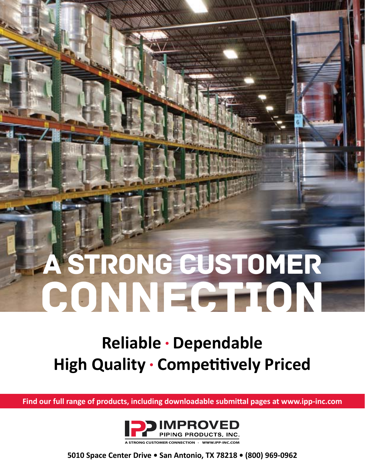# a strong customer CONNECTION

### **Reliable • Dependable High Quality • Competitively Priced**

**Find our full range of products, including downloadable submittal pages at www.ipp-inc.com**



**A STRONG CUSTOMER CONNECTION · WWW.IPP-INC.COM**

**5010 Space Center Drive • San Antonio, TX 78218 • (800) 969-0962**